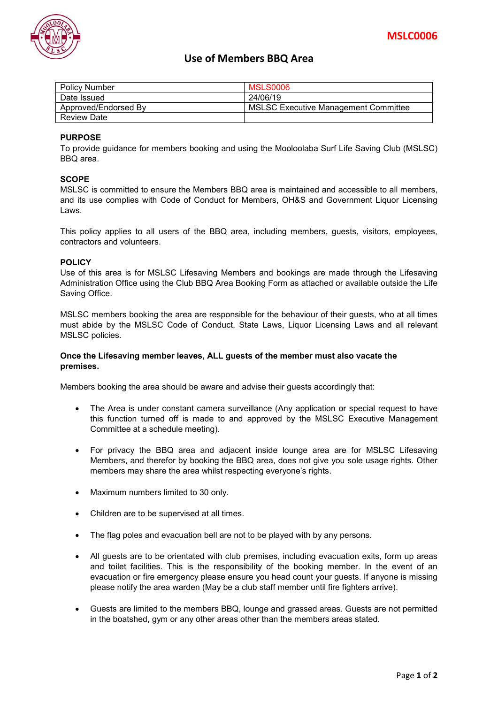

# **Use of Members BBQ Area**

| <b>Policy Number</b> | <b>MSLS0006</b>                             |
|----------------------|---------------------------------------------|
| Date Issued          | 24/06/19                                    |
| Approved/Endorsed By | <b>MSLSC Executive Management Committee</b> |
| <b>Review Date</b>   |                                             |

### **PURPOSE**

To provide guidance for members booking and using the Mooloolaba Surf Life Saving Club (MSLSC) BBQ area.

## **SCOPE**

MSLSC is committed to ensure the Members BBQ area is maintained and accessible to all members, and its use complies with Code of Conduct for Members, OH&S and Government Liquor Licensing Laws.

This policy applies to all users of the BBQ area, including members, guests, visitors, employees, contractors and volunteers.

#### **POLICY**

Use of this area is for MSLSC Lifesaving Members and bookings are made through the Lifesaving Administration Office using the Club BBQ Area Booking Form as attached or available outside the Life Saving Office.

MSLSC members booking the area are responsible for the behaviour of their guests, who at all times must abide by the MSLSC Code of Conduct, State Laws, Liquor Licensing Laws and all relevant MSLSC policies.

#### **Once the Lifesaving member leaves, ALL guests of the member must also vacate the premises.**

Members booking the area should be aware and advise their guests accordingly that:

- The Area is under constant camera surveillance (Any application or special request to have this function turned off is made to and approved by the MSLSC Executive Management Committee at a schedule meeting).
- For privacy the BBQ area and adjacent inside lounge area are for MSLSC Lifesaving Members, and therefor by booking the BBQ area, does not give you sole usage rights. Other members may share the area whilst respecting everyone's rights.
- Maximum numbers limited to 30 only.
- Children are to be supervised at all times.
- The flag poles and evacuation bell are not to be played with by any persons.
- All guests are to be orientated with club premises, including evacuation exits, form up areas and toilet facilities. This is the responsibility of the booking member. In the event of an evacuation or fire emergency please ensure you head count your guests. If anyone is missing please notify the area warden (May be a club staff member until fire fighters arrive).
- Guests are limited to the members BBQ, lounge and grassed areas. Guests are not permitted in the boatshed, gym or any other areas other than the members areas stated.